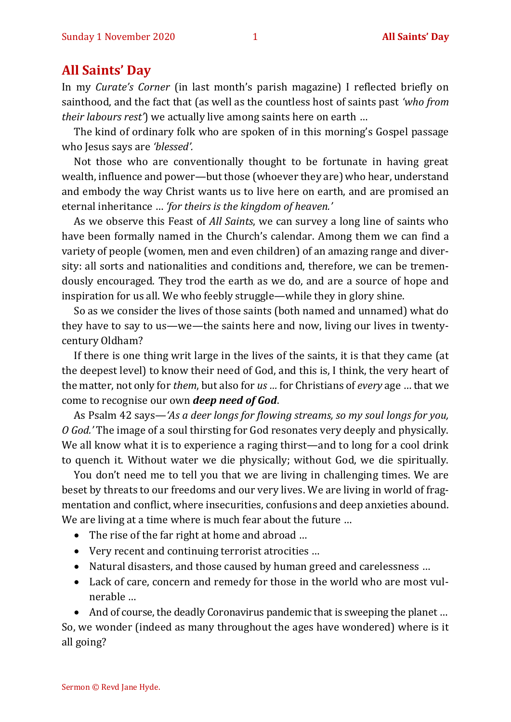## **All Saints' Day**

In my *Curate's Corner* (in last month's parish magazine) I reflected briefly on sainthood, and the fact that (as well as the countless host of saints past *'who from their labours rest'*) we actually live among saints here on earth …

The kind of ordinary folk who are spoken of in this morning's Gospel passage who Jesus says are *'blessed'.*

Not those who are conventionally thought to be fortunate in having great wealth, influence and power—but those (whoever they are) who hear, understand and embody the way Christ wants us to live here on earth, and are promised an eternal inheritance … *'for theirs is the kingdom of heaven.'*

As we observe this Feast of *All Saints*, we can survey a long line of saints who have been formally named in the Church's calendar. Among them we can find a variety of people (women, men and even children) of an amazing range and diversity: all sorts and nationalities and conditions and, therefore, we can be tremendously encouraged. They trod the earth as we do, and are a source of hope and inspiration for us all. We who feebly struggle—while they in glory shine.

So as we consider the lives of those saints (both named and unnamed) what do they have to say to us—we—the saints here and now, living our lives in twentycentury Oldham?

If there is one thing writ large in the lives of the saints, it is that they came (at the deepest level) to know their need of God, and this is, I think, the very heart of the matter, not only for *them*, but also for *us …* for Christians of *every* age … that we come to recognise our own *deep need of God*.

As Psalm 42 says—*'As a deer longs for flowing streams, so my soul longs for you, O God.'* The image of a soul thirsting for God resonates very deeply and physically. We all know what it is to experience a raging thirst—and to long for a cool drink to quench it. Without water we die physically; without God, we die spiritually.

You don't need me to tell you that we are living in challenging times. We are beset by threats to our freedoms and our very lives. We are living in world of fragmentation and conflict, where insecurities, confusions and deep anxieties abound. We are living at a time where is much fear about the future ...

- The rise of the far right at home and abroad ...
- Very recent and continuing terrorist atrocities …
- Natural disasters, and those caused by human greed and carelessness ...
- Lack of care, concern and remedy for those in the world who are most vulnerable …

• And of course, the deadly Coronavirus pandemic that is sweeping the planet ... So, we wonder (indeed as many throughout the ages have wondered) where is it all going?